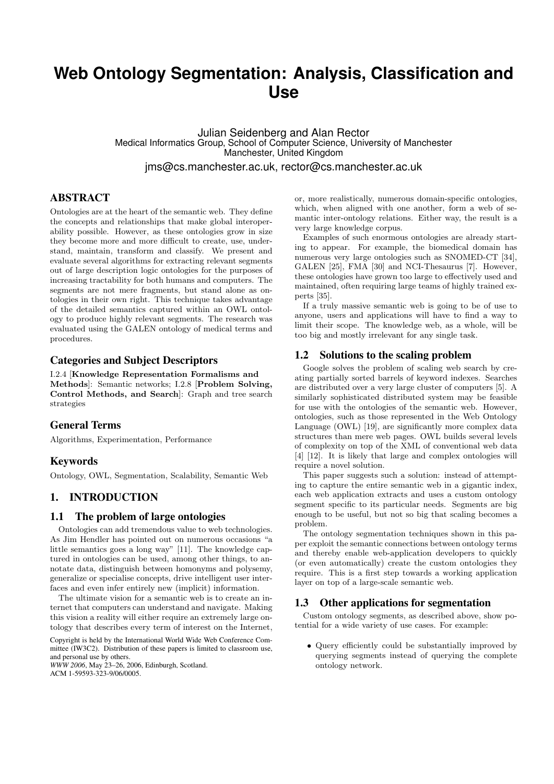# **Web Ontology Segmentation: Analysis, Classification and Use**

Julian Seidenberg and Alan Rector Medical Informatics Group, School of Computer Science, University of Manchester Manchester, United Kingdom

jms@cs.manchester.ac.uk, rector@cs.manchester.ac.uk

# ABSTRACT

Ontologies are at the heart of the semantic web. They define the concepts and relationships that make global interoperability possible. However, as these ontologies grow in size they become more and more difficult to create, use, understand, maintain, transform and classify. We present and evaluate several algorithms for extracting relevant segments out of large description logic ontologies for the purposes of increasing tractability for both humans and computers. The segments are not mere fragments, but stand alone as ontologies in their own right. This technique takes advantage of the detailed semantics captured within an OWL ontology to produce highly relevant segments. The research was evaluated using the GALEN ontology of medical terms and procedures.

## Categories and Subject Descriptors

I.2.4 [Knowledge Representation Formalisms and Methods]: Semantic networks; I.2.8 [Problem Solving, Control Methods, and Search]: Graph and tree search strategies

# General Terms

Algorithms, Experimentation, Performance

# Keywords

Ontology, OWL, Segmentation, Scalability, Semantic Web

# 1. INTRODUCTION

## 1.1 The problem of large ontologies

Ontologies can add tremendous value to web technologies. As Jim Hendler has pointed out on numerous occasions "a little semantics goes a long way" [11]. The knowledge captured in ontologies can be used, among other things, to annotate data, distinguish between homonyms and polysemy, generalize or specialise concepts, drive intelligent user interfaces and even infer entirely new (implicit) information.

The ultimate vision for a semantic web is to create an internet that computers can understand and navigate. Making this vision a reality will either require an extremely large ontology that describes every term of interest on the Internet,

Copyright is held by the International World Wide Web Conference Committee (IW3C2). Distribution of these papers is limited to classroom use, and personal use by others.

*WWW 2006*, May 23–26, 2006, Edinburgh, Scotland. ACM 1-59593-323-9/06/0005.

or, more realistically, numerous domain-specific ontologies, which, when aligned with one another, form a web of semantic inter-ontology relations. Either way, the result is a very large knowledge corpus.

Examples of such enormous ontologies are already starting to appear. For example, the biomedical domain has numerous very large ontologies such as SNOMED-CT [34], GALEN [25], FMA [30] and NCI-Thesaurus [7]. However, these ontologies have grown too large to effectively used and maintained, often requiring large teams of highly trained experts [35].

If a truly massive semantic web is going to be of use to anyone, users and applications will have to find a way to limit their scope. The knowledge web, as a whole, will be too big and mostly irrelevant for any single task.

### 1.2 Solutions to the scaling problem

Google solves the problem of scaling web search by creating partially sorted barrels of keyword indexes. Searches are distributed over a very large cluster of computers [5]. A similarly sophisticated distributed system may be feasible for use with the ontologies of the semantic web. However, ontologies, such as those represented in the Web Ontology Language (OWL) [19], are significantly more complex data structures than mere web pages. OWL builds several levels of complexity on top of the XML of conventional web data [4] [12]. It is likely that large and complex ontologies will require a novel solution.

This paper suggests such a solution: instead of attempting to capture the entire semantic web in a gigantic index, each web application extracts and uses a custom ontology segment specific to its particular needs. Segments are big enough to be useful, but not so big that scaling becomes a problem.

The ontology segmentation techniques shown in this paper exploit the semantic connections between ontology terms and thereby enable web-application developers to quickly (or even automatically) create the custom ontologies they require. This is a first step towards a working application layer on top of a large-scale semantic web.

### 1.3 Other applications for segmentation

Custom ontology segments, as described above, show potential for a wide variety of use cases. For example:

• Query efficiently could be substantially improved by querying segments instead of querying the complete ontology network.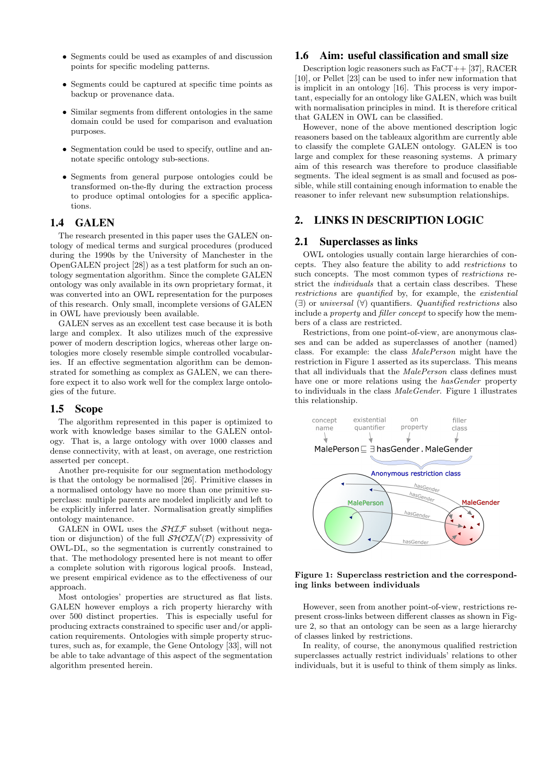- Segments could be used as examples of and discussion points for specific modeling patterns.
- Segments could be captured at specific time points as backup or provenance data.
- Similar segments from different ontologies in the same domain could be used for comparison and evaluation purposes.
- Segmentation could be used to specify, outline and annotate specific ontology sub-sections.
- Segments from general purpose ontologies could be transformed on-the-fly during the extraction process to produce optimal ontologies for a specific applications.

## 1.4 GALEN

The research presented in this paper uses the GALEN ontology of medical terms and surgical procedures (produced during the 1990s by the University of Manchester in the OpenGALEN project [28]) as a test platform for such an ontology segmentation algorithm. Since the complete GALEN ontology was only available in its own proprietary format, it was converted into an OWL representation for the purposes of this research. Only small, incomplete versions of GALEN in OWL have previously been available.

GALEN serves as an excellent test case because it is both large and complex. It also utilizes much of the expressive power of modern description logics, whereas other large ontologies more closely resemble simple controlled vocabularies. If an effective segmentation algorithm can be demonstrated for something as complex as GALEN, we can therefore expect it to also work well for the complex large ontologies of the future.

# 1.5 Scope

The algorithm represented in this paper is optimized to work with knowledge bases similar to the GALEN ontology. That is, a large ontology with over 1000 classes and dense connectivity, with at least, on average, one restriction asserted per concept.

Another pre-requisite for our segmentation methodology is that the ontology be normalised [26]. Primitive classes in a normalised ontology have no more than one primitive superclass: multiple parents are modeled implicitly and left to be explicitly inferred later. Normalisation greatly simplifies ontology maintenance.

GALEN in OWL uses the  $\mathcal{SHTF}$  subset (without negation or disjunction) of the full  $\mathcal{SHOLN}(D)$  expressivity of OWL-DL, so the segmentation is currently constrained to that. The methodology presented here is not meant to offer a complete solution with rigorous logical proofs. Instead, we present empirical evidence as to the effectiveness of our approach.

Most ontologies' properties are structured as flat lists. GALEN however employs a rich property hierarchy with over 500 distinct properties. This is especially useful for producing extracts constrained to specific user and/or application requirements. Ontologies with simple property structures, such as, for example, the Gene Ontology [33], will not be able to take advantage of this aspect of the segmentation algorithm presented herein.

# 1.6 Aim: useful classification and small size

Description logic reasoners such as  $FaCT++$  [37], RACER [10], or Pellet [23] can be used to infer new information that is implicit in an ontology [16]. This process is very important, especially for an ontology like GALEN, which was built with normalisation principles in mind. It is therefore critical that GALEN in OWL can be classified.

However, none of the above mentioned description logic reasoners based on the tableaux algorithm are currently able to classify the complete GALEN ontology. GALEN is too large and complex for these reasoning systems. A primary aim of this research was therefore to produce classifiable segments. The ideal segment is as small and focused as possible, while still containing enough information to enable the reasoner to infer relevant new subsumption relationships.

# 2. LINKS IN DESCRIPTION LOGIC

### 2.1 Superclasses as links

OWL ontologies usually contain large hierarchies of concepts. They also feature the ability to add restrictions to such concepts. The most common types of restrictions restrict the individuals that a certain class describes. These restrictions are quantified by, for example, the existential  $(\exists)$  or universal  $(\forall)$  quantifiers. Quantified restrictions also include a *property* and *filler concept* to specify how the members of a class are restricted.

Restrictions, from one point-of-view, are anonymous classes and can be added as superclasses of another (named) class. For example: the class MalePerson might have the restriction in Figure 1 asserted as its superclass. This means that all individuals that the MalePerson class defines must have one or more relations using the *hasGender* property to individuals in the class MaleGender. Figure 1 illustrates this relationship.



#### Figure 1: Superclass restriction and the corresponding links between individuals

However, seen from another point-of-view, restrictions represent cross-links between different classes as shown in Figure 2, so that an ontology can be seen as a large hierarchy of classes linked by restrictions.

In reality, of course, the anonymous qualified restriction superclasses actually restrict individuals' relations to other individuals, but it is useful to think of them simply as links.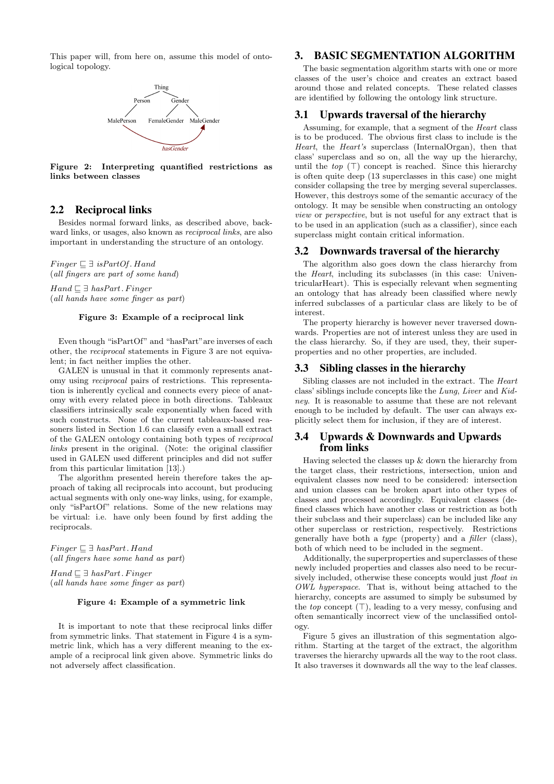This paper will, from here on, assume this model of ontological topology.



Figure 2: Interpreting quantified restrictions as links between classes

# 2.2 Reciprocal links

Besides normal forward links, as described above, backward links, or usages, also known as *reciprocal links*, are also important in understanding the structure of an ontology.

 $Finance \sqsubseteq \exists$  is PartOf. Hand (all fingers are part of some hand)

 $Hand \sqsubseteq \exists \ hasPart \, . \, Finger$ (all hands have some finger as part)

#### Figure 3: Example of a reciprocal link

Even though "isPartOf" and "hasPart"are inverses of each other, the reciprocal statements in Figure 3 are not equivalent; in fact neither implies the other.

GALEN is unusual in that it commonly represents anatomy using reciprocal pairs of restrictions. This representation is inherently cyclical and connects every piece of anatomy with every related piece in both directions. Tableaux classifiers intrinsically scale exponentially when faced with such constructs. None of the current tableaux-based reasoners listed in Section 1.6 can classify even a small extract of the GALEN ontology containing both types of reciprocal links present in the original. (Note: the original classifier used in GALEN used different principles and did not suffer from this particular limitation [13].)

The algorithm presented herein therefore takes the approach of taking all reciprocals into account, but producing actual segments with only one-way links, using, for example, only "isPartOf" relations. Some of the new relations may be virtual: i.e. have only been found by first adding the reciprocals.

 $Finder \sqsubset \exists \ hasPart \ldotp Hand$ (all fingers have some hand as part)

 $Hand \sqsubset \exists \ hasPart \, . \, Finger$ (all hands have some finger as part)

#### Figure 4: Example of a symmetric link

It is important to note that these reciprocal links differ from symmetric links. That statement in Figure 4 is a symmetric link, which has a very different meaning to the example of a reciprocal link given above. Symmetric links do not adversely affect classification.

# 3. BASIC SEGMENTATION ALGORITHM

The basic segmentation algorithm starts with one or more classes of the user's choice and creates an extract based around those and related concepts. These related classes are identified by following the ontology link structure.

### 3.1 Upwards traversal of the hierarchy

Assuming, for example, that a segment of the Heart class is to be produced. The obvious first class to include is the Heart, the Heart's superclass (InternalOrgan), then that class' superclass and so on, all the way up the hierarchy, until the top  $(T)$  concept is reached. Since this hierarchy is often quite deep (13 superclasses in this case) one might consider collapsing the tree by merging several superclasses. However, this destroys some of the semantic accuracy of the ontology. It may be sensible when constructing an ontology view or perspective, but is not useful for any extract that is to be used in an application (such as a classifier), since each superclass might contain critical information.

#### 3.2 Downwards traversal of the hierarchy

The algorithm also goes down the class hierarchy from the Heart, including its subclasses (in this case: UniventricularHeart). This is especially relevant when segmenting an ontology that has already been classified where newly inferred subclasses of a particular class are likely to be of interest.

The property hierarchy is however never traversed downwards. Properties are not of interest unless they are used in the class hierarchy. So, if they are used, they, their superproperties and no other properties, are included.

#### 3.3 Sibling classes in the hierarchy

Sibling classes are not included in the extract. The Heart class' siblings include concepts like the Lung, Liver and Kidney. It is reasonable to assume that these are not relevant enough to be included by default. The user can always explicitly select them for inclusion, if they are of interest.

## 3.4 Upwards & Downwards and Upwards from links

Having selected the classes up & down the hierarchy from the target class, their restrictions, intersection, union and equivalent classes now need to be considered: intersection and union classes can be broken apart into other types of classes and processed accordingly. Equivalent classes (defined classes which have another class or restriction as both their subclass and their superclass) can be included like any other superclass or restriction, respectively. Restrictions generally have both a type (property) and a filler (class), both of which need to be included in the segment.

Additionally, the superproperties and superclasses of these newly included properties and classes also need to be recursively included, otherwise these concepts would just float in OWL hyperspace. That is, without being attached to the hierarchy, concepts are assumed to simply be subsumed by the *top* concept  $(T)$ , leading to a very messy, confusing and often semantically incorrect view of the unclassified ontology.

Figure 5 gives an illustration of this segmentation algorithm. Starting at the target of the extract, the algorithm traverses the hierarchy upwards all the way to the root class. It also traverses it downwards all the way to the leaf classes.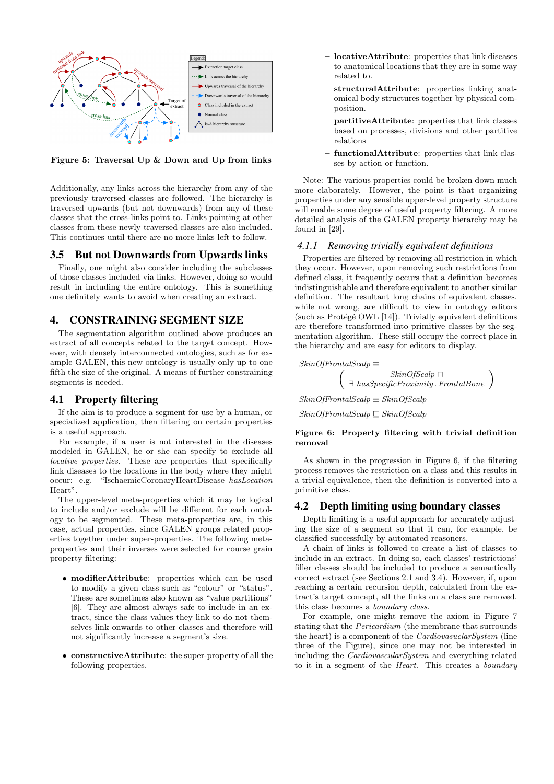

Figure 5: Traversal Up & Down and Up from links

Additionally, any links across the hierarchy from any of the previously traversed classes are followed. The hierarchy is traversed upwards (but not downwards) from any of these classes that the cross-links point to. Links pointing at other classes from these newly traversed classes are also included. This continues until there are no more links left to follow.

### 3.5 But not Downwards from Upwards links

Finally, one might also consider including the subclasses of those classes included via links. However, doing so would result in including the entire ontology. This is something one definitely wants to avoid when creating an extract.

## 4. CONSTRAINING SEGMENT SIZE

The segmentation algorithm outlined above produces an extract of all concepts related to the target concept. However, with densely interconnected ontologies, such as for example GALEN, this new ontology is usually only up to one fifth the size of the original. A means of further constraining segments is needed.

### 4.1 Property filtering

If the aim is to produce a segment for use by a human, or specialized application, then filtering on certain properties is a useful approach.

For example, if a user is not interested in the diseases modeled in GALEN, he or she can specify to exclude all locative properties. These are properties that specifically link diseases to the locations in the body where they might occur: e.g. "IschaemicCoronaryHeartDisease hasLocation Heart".

The upper-level meta-properties which it may be logical to include and/or exclude will be different for each ontology to be segmented. These meta-properties are, in this case, actual properties, since GALEN groups related properties together under super-properties. The following metaproperties and their inverses were selected for course grain property filtering:

- modifierAttribute: properties which can be used to modify a given class such as "colour" or "status". These are sometimes also known as "value partitions" [6]. They are almost always safe to include in an extract, since the class values they link to do not themselves link onwards to other classes and therefore will not significantly increase a segment's size.
- constructiveAttribute: the super-property of all the following properties.
- locativeAttribute: properties that link diseases to anatomical locations that they are in some way related to.
- structuralAttribute: properties linking anatomical body structures together by physical composition.
- partitiveAttribute: properties that link classes based on processes, divisions and other partitive relations
- functionalAttribute: properties that link classes by action or function.

Note: The various properties could be broken down much more elaborately. However, the point is that organizing properties under any sensible upper-level property structure will enable some degree of useful property filtering. A more detailed analysis of the GALEN property hierarchy may be found in [29].

#### *4.1.1 Removing trivially equivalent definitions*

Properties are filtered by removing all restriction in which they occur. However, upon removing such restrictions from defined class, it frequently occurs that a definition becomes indistinguishable and therefore equivalent to another similar definition. The resultant long chains of equivalent classes, while not wrong, are difficult to view in ontology editors  $(such as Protégé OWL [14])$ . Trivially equivalent definitions are therefore transformed into primitive classes by the segmentation algorithm. These still occupy the correct place in the hierarchy and are easy for editors to display.

 $SkinOfFrontalScalp \equiv$  $\begin{array}{l} {\it n} {\it talscalp} \equiv \ \left( \begin{array}{c} \exists \; \it hass \emph{specificProximity.} \; {\it Frontal} \emph{Bone} \end{array} \right) \end{array}$ 

 $SkinOfFrontalScalp \equiv SkinOfScalp$ 

 $SkinOfFrontalScalp \subseteq SkinOfScalp$ 

#### Figure 6: Property filtering with trivial definition removal

As shown in the progression in Figure 6, if the filtering process removes the restriction on a class and this results in a trivial equivalence, then the definition is converted into a primitive class.

### 4.2 Depth limiting using boundary classes

Depth limiting is a useful approach for accurately adjusting the size of a segment so that it can, for example, be classified successfully by automated reasoners.

A chain of links is followed to create a list of classes to include in an extract. In doing so, each classes' restrictions' filler classes should be included to produce a semantically correct extract (see Sections 2.1 and 3.4). However, if, upon reaching a certain recursion depth, calculated from the extract's target concept, all the links on a class are removed, this class becomes a boundary class.

For example, one might remove the axiom in Figure 7 stating that the *Pericardium* (the membrane that surrounds the heart) is a component of the CardiovasuclarSystem (line three of the Figure), since one may not be interested in including the CardiovascularSystem and everything related to it in a segment of the Heart. This creates a boundary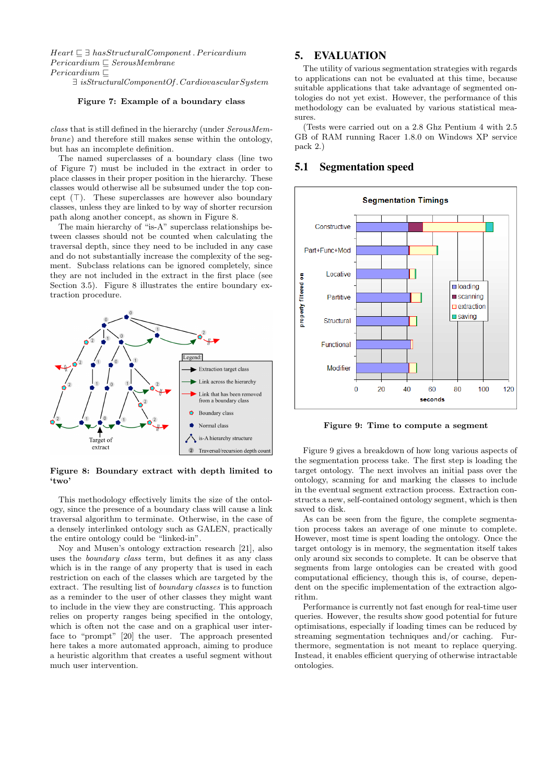$Heart \sqsubseteq \exists \ hasStructuralComponent \,. \, Pericardium$  $Pericardium \sqsubseteq SerousMembrane$  $Pericardium \sqsubseteq$ 

∃ isStructuralComponentOf . CardiovascularSystem

#### Figure 7: Example of a boundary class

class that is still defined in the hierarchy (under SerousMembrane) and therefore still makes sense within the ontology, but has an incomplete definition.

The named superclasses of a boundary class (line two of Figure 7) must be included in the extract in order to place classes in their proper position in the hierarchy. These classes would otherwise all be subsumed under the top concept  $(T)$ . These superclasses are however also boundary classes, unless they are linked to by way of shorter recursion path along another concept, as shown in Figure 8.

The main hierarchy of "is-A" superclass relationships between classes should not be counted when calculating the traversal depth, since they need to be included in any case and do not substantially increase the complexity of the segment. Subclass relations can be ignored completely, since they are not included in the extract in the first place (see Section 3.5). Figure 8 illustrates the entire boundary extraction procedure.



Figure 8: Boundary extract with depth limited to 'two'

This methodology effectively limits the size of the ontology, since the presence of a boundary class will cause a link traversal algorithm to terminate. Otherwise, in the case of a densely interlinked ontology such as GALEN, practically the entire ontology could be "linked-in".

Noy and Musen's ontology extraction research [21], also uses the boundary class term, but defines it as any class which is in the range of any property that is used in each restriction on each of the classes which are targeted by the extract. The resulting list of boundary classes is to function as a reminder to the user of other classes they might want to include in the view they are constructing. This approach relies on property ranges being specified in the ontology, which is often not the case and on a graphical user interface to "prompt" [20] the user. The approach presented here takes a more automated approach, aiming to produce a heuristic algorithm that creates a useful segment without much user intervention.

# 5. EVALUATION

The utility of various segmentation strategies with regards to applications can not be evaluated at this time, because suitable applications that take advantage of segmented ontologies do not yet exist. However, the performance of this methodology can be evaluated by various statistical measures.

(Tests were carried out on a 2.8 Ghz Pentium 4 with 2.5 GB of RAM running Racer 1.8.0 on Windows XP service pack 2.)



### 5.1 Segmentation speed

Figure 9: Time to compute a segment

Figure 9 gives a breakdown of how long various aspects of the segmentation process take. The first step is loading the target ontology. The next involves an initial pass over the ontology, scanning for and marking the classes to include in the eventual segment extraction process. Extraction constructs a new, self-contained ontology segment, which is then saved to disk.

As can be seen from the figure, the complete segmentation process takes an average of one minute to complete. However, most time is spent loading the ontology. Once the target ontology is in memory, the segmentation itself takes only around six seconds to complete. It can be observe that segments from large ontologies can be created with good computational efficiency, though this is, of course, dependent on the specific implementation of the extraction algorithm.

Performance is currently not fast enough for real-time user queries. However, the results show good potential for future optimisations, especially if loading times can be reduced by streaming segmentation techniques and/or caching. Furthermore, segmentation is not meant to replace querying. Instead, it enables efficient querying of otherwise intractable ontologies.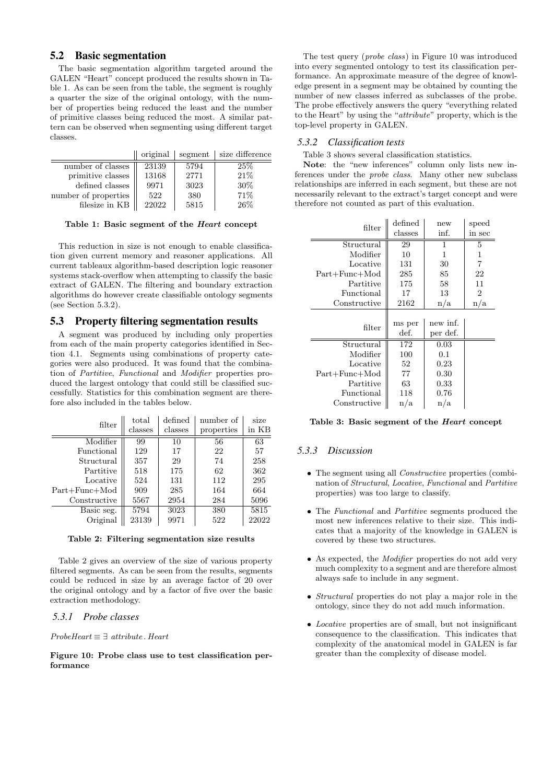## 5.2 Basic segmentation

The basic segmentation algorithm targeted around the GALEN "Heart" concept produced the results shown in Table 1. As can be seen from the table, the segment is roughly a quarter the size of the original ontology, with the number of properties being reduced the least and the number of primitive classes being reduced the most. A similar pattern can be observed when segmenting using different target classes.

|                      | original | segment | size difference |
|----------------------|----------|---------|-----------------|
| number of classes    | 23139    | 5794    | 25%             |
| primitive classes    | 13168    | 2771    | 21\%            |
| defined classes      | 9971     | 3023    | 30%             |
| number of properties | 522      | 380     | 71\%            |
| filesize in KB       | 22022    | 5815    | 26%             |

Table 1: Basic segment of the Heart concept

This reduction in size is not enough to enable classification given current memory and reasoner applications. All current tableaux algorithm-based description logic reasoner systems stack-overflow when attempting to classify the basic extract of GALEN. The filtering and boundary extraction algorithms do however create classifiable ontology segments (see Section 5.3.2).

# 5.3 Property filtering segmentation results

A segment was produced by including only properties from each of the main property categories identified in Section 4.1. Segments using combinations of property categories were also produced. It was found that the combination of Partitive, Functional and Modifier properties produced the largest ontology that could still be classified successfully. Statistics for this combination segment are therefore also included in the tables below.

| filter              | total   | defined | number of  | size  |
|---------------------|---------|---------|------------|-------|
|                     | classes | classes | properties | in KB |
| Modifier            | 99      | 10      | 56         | 63    |
| Functional          | 129     | 17      | 22         | 57    |
| Structural          | 357     | 29      | 74         | 258   |
| Partitive           | 518     | 175     | 62         | 362   |
| Locative            | 524     | 131     | 112        | 295   |
| $Part + Func + Mod$ | 909     | 285     | 164        | 664   |
| Constructive        | 5567    | 2954    | 284        | 5096  |
| Basic seg.          | 5794    | 3023    | 380        | 5815  |
| Original            | 23139   | 9971    | 522        | 22022 |

Table 2: Filtering segmentation size results

Table 2 gives an overview of the size of various property filtered segments. As can be seen from the results, segments could be reduced in size by an average factor of 20 over the original ontology and by a factor of five over the basic extraction methodology.

# *5.3.1 Probe classes*

 $ProbeHeart \equiv \exists \ attribute.$  Heart

Figure 10: Probe class use to test classification performance

The test query (probe class) in Figure 10 was introduced into every segmented ontology to test its classification performance. An approximate measure of the degree of knowledge present in a segment may be obtained by counting the number of new classes inferred as subclasses of the probe. The probe effectively answers the query "everything related to the Heart" by using the "attribute" property, which is the top-level property in GALEN.

### *5.3.2 Classification tests*

Table 3 shows several classification statistics.

Note: the "new inferences" column only lists new inferences under the probe class. Many other new subclass relationships are inferred in each segment, but these are not necessarily relevant to the extract's target concept and were therefore not counted as part of this evaluation.

| filter              | defined | new      | speed          |
|---------------------|---------|----------|----------------|
|                     | classes | inf.     | in sec         |
| Structural          | 29      | 1        | 5              |
| Modifier            | 10      | 1        | 1              |
| Locative            | 131     | 30       | 7              |
| $Part + Func + Mod$ | 285     | 85       | 22             |
| Partitive           | 175     | 58       | 11             |
| Functional          | 17      | 13       | $\overline{2}$ |
| Constructive        | 2162    | n/a      | n/a            |
|                     |         |          |                |
| filter              | ms per  | new inf. |                |
|                     | def.    | per def. |                |
| Structural          | 172     | 0.03     |                |
| Modifier            | 100     | 0.1      |                |
| Locative            | 52      | 0.23     |                |
| $Part + Func + Mod$ | 77      | 0.30     |                |
| Partitive           |         |          |                |
|                     | 63      | 0.33     |                |
| Functional          | 118     | 0.76     |                |

### Table 3: Basic segment of the Heart concept

### *5.3.3 Discussion*

- The segment using all Constructive properties (combination of Structural, Locative, Functional and Partitive properties) was too large to classify.
- The Functional and Partitive segments produced the most new inferences relative to their size. This indicates that a majority of the knowledge in GALEN is covered by these two structures.
- As expected, the *Modifier* properties do not add very much complexity to a segment and are therefore almost always safe to include in any segment.
- Structural properties do not play a major role in the ontology, since they do not add much information.
- Locative properties are of small, but not insignificant consequence to the classification. This indicates that complexity of the anatomical model in GALEN is far greater than the complexity of disease model.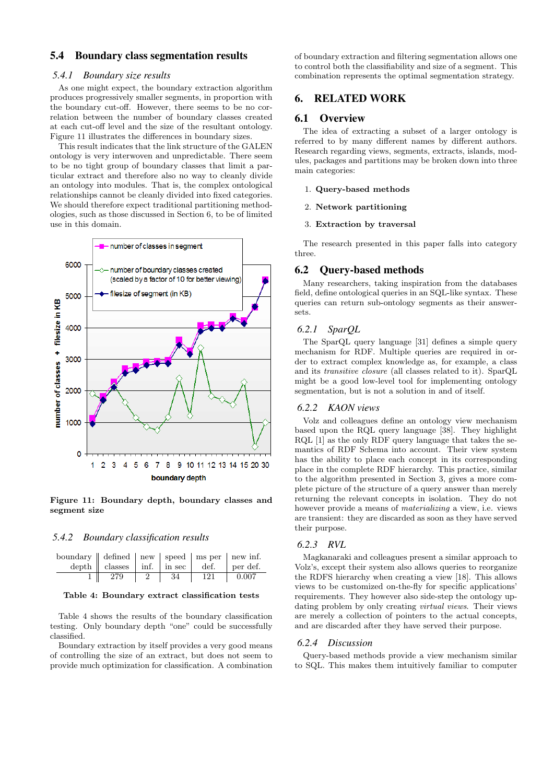# 5.4 Boundary class segmentation results

### *5.4.1 Boundary size results*

As one might expect, the boundary extraction algorithm produces progressively smaller segments, in proportion with the boundary cut-off. However, there seems to be no correlation between the number of boundary classes created at each cut-off level and the size of the resultant ontology. Figure 11 illustrates the differences in boundary sizes.

This result indicates that the link structure of the GALEN ontology is very interwoven and unpredictable. There seem to be no tight group of boundary classes that limit a particular extract and therefore also no way to cleanly divide an ontology into modules. That is, the complex ontological relationships cannot be cleanly divided into fixed categories. We should therefore expect traditional partitioning methodologies, such as those discussed in Section 6, to be of limited use in this domain.



Figure 11: Boundary depth, boundary classes and segment size

#### *5.4.2 Boundary classification results*

| boundary $\parallel$ defined $\parallel$ new $\parallel$ speed $\parallel$ ms per $\parallel$ new inf. |                                                                                                     |    |     |         |
|--------------------------------------------------------------------------------------------------------|-----------------------------------------------------------------------------------------------------|----|-----|---------|
|                                                                                                        | depth $\parallel$ classes $\parallel$ inf. $\parallel$ in sec $\parallel$ def. $\parallel$ per def. |    |     |         |
|                                                                                                        | -279                                                                                                | 34 | 121 | - 0.007 |

Table 4: Boundary extract classification tests

Table 4 shows the results of the boundary classification testing. Only boundary depth "one" could be successfully classified.

Boundary extraction by itself provides a very good means of controlling the size of an extract, but does not seem to provide much optimization for classification. A combination

of boundary extraction and filtering segmentation allows one to control both the classifiability and size of a segment. This combination represents the optimal segmentation strategy.

# 6. RELATED WORK

### 6.1 Overview

The idea of extracting a subset of a larger ontology is referred to by many different names by different authors. Research regarding views, segments, extracts, islands, modules, packages and partitions may be broken down into three main categories:

#### 1. Query-based methods

#### 2. Network partitioning

#### 3. Extraction by traversal

The research presented in this paper falls into category three.

### 6.2 Query-based methods

Many researchers, taking inspiration from the databases field, define ontological queries in an SQL-like syntax. These queries can return sub-ontology segments as their answersets.

### *6.2.1 SparQL*

The SparQL query language [31] defines a simple query mechanism for RDF. Multiple queries are required in order to extract complex knowledge as, for example, a class and its transitive closure (all classes related to it). SparQL might be a good low-level tool for implementing ontology segmentation, but is not a solution in and of itself.

### *6.2.2 KAON views*

Volz and colleagues define an ontology view mechanism based upon the RQL query language [38]. They highlight RQL [1] as the only RDF query language that takes the semantics of RDF Schema into account. Their view system has the ability to place each concept in its corresponding place in the complete RDF hierarchy. This practice, similar to the algorithm presented in Section 3, gives a more complete picture of the structure of a query answer than merely returning the relevant concepts in isolation. They do not however provide a means of materializing a view, i.e. views are transient: they are discarded as soon as they have served their purpose.

### *6.2.3 RVL*

Magkanaraki and colleagues present a similar approach to Volz's, except their system also allows queries to reorganize the RDFS hierarchy when creating a view [18]. This allows views to be customized on-the-fly for specific applications' requirements. They however also side-step the ontology updating problem by only creating virtual views. Their views are merely a collection of pointers to the actual concepts, and are discarded after they have served their purpose.

#### *6.2.4 Discussion*

Query-based methods provide a view mechanism similar to SQL. This makes them intuitively familiar to computer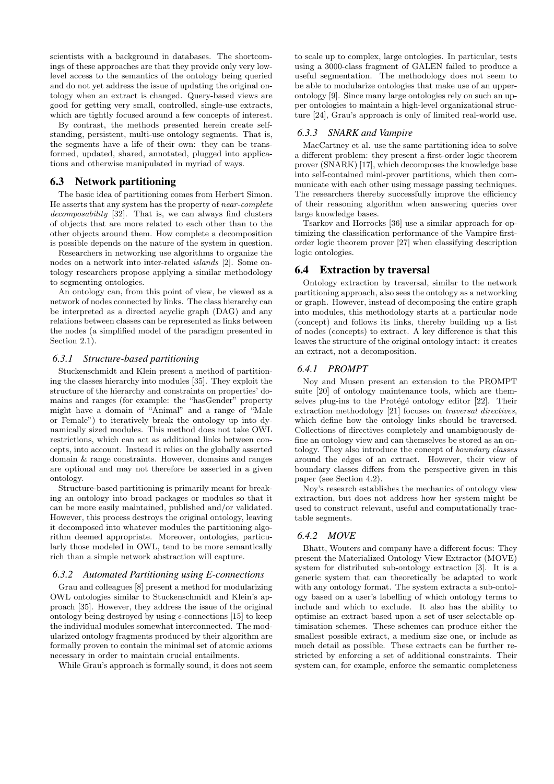scientists with a background in databases. The shortcomings of these approaches are that they provide only very lowlevel access to the semantics of the ontology being queried and do not yet address the issue of updating the original ontology when an extract is changed. Query-based views are good for getting very small, controlled, single-use extracts, which are tightly focused around a few concepts of interest.

By contrast, the methods presented herein create selfstanding, persistent, multi-use ontology segments. That is, the segments have a life of their own: they can be transformed, updated, shared, annotated, plugged into applications and otherwise manipulated in myriad of ways.

### 6.3 Network partitioning

The basic idea of partitioning comes from Herbert Simon. He asserts that any system has the property of near-complete decomposability [32]. That is, we can always find clusters of objects that are more related to each other than to the other objects around them. How complete a decomposition is possible depends on the nature of the system in question.

Researchers in networking use algorithms to organize the nodes on a network into inter-related islands [2]. Some ontology researchers propose applying a similar methodology to segmenting ontologies.

An ontology can, from this point of view, be viewed as a network of nodes connected by links. The class hierarchy can be interpreted as a directed acyclic graph (DAG) and any relations between classes can be represented as links between the nodes (a simplified model of the paradigm presented in Section 2.1).

#### *6.3.1 Structure-based partitioning*

Stuckenschmidt and Klein present a method of partitioning the classes hierarchy into modules [35]. They exploit the structure of the hierarchy and constraints on properties' domains and ranges (for example: the "hasGender" property might have a domain of "Animal" and a range of "Male or Female") to iteratively break the ontology up into dynamically sized modules. This method does not take OWL restrictions, which can act as additional links between concepts, into account. Instead it relies on the globally asserted domain & range constraints. However, domains and ranges are optional and may not therefore be asserted in a given ontology.

Structure-based partitioning is primarily meant for breaking an ontology into broad packages or modules so that it can be more easily maintained, published and/or validated. However, this process destroys the original ontology, leaving it decomposed into whatever modules the partitioning algorithm deemed appropriate. Moreover, ontologies, particularly those modeled in OWL, tend to be more semantically rich than a simple network abstraction will capture.

#### *6.3.2 Automated Partitioning using E-connections*

Grau and colleagues [8] present a method for modularizing OWL ontologies similar to Stuckenschmidt and Klein's approach [35]. However, they address the issue of the original ontology being destroyed by using  $\epsilon$ -connections [15] to keep the individual modules somewhat interconnected. The modularized ontology fragments produced by their algorithm are formally proven to contain the minimal set of atomic axioms necessary in order to maintain crucial entailments.

While Grau's approach is formally sound, it does not seem

to scale up to complex, large ontologies. In particular, tests using a 3000-class fragment of GALEN failed to produce a useful segmentation. The methodology does not seem to be able to modularize ontologies that make use of an upperontology [9]. Since many large ontologies rely on such an upper ontologies to maintain a high-level organizational structure [24], Grau's approach is only of limited real-world use.

### *6.3.3 SNARK and Vampire*

MacCartney et al. use the same partitioning idea to solve a different problem: they present a first-order logic theorem prover (SNARK) [17], which decomposes the knowledge base into self-contained mini-prover partitions, which then communicate with each other using message passing techniques. The researchers thereby successfully improve the efficiency of their reasoning algorithm when answering queries over large knowledge bases.

Tsarkov and Horrocks [36] use a similar approach for optimizing the classification performance of the Vampire firstorder logic theorem prover [27] when classifying description logic ontologies.

## 6.4 Extraction by traversal

Ontology extraction by traversal, similar to the network partitioning approach, also sees the ontology as a networking or graph. However, instead of decomposing the entire graph into modules, this methodology starts at a particular node (concept) and follows its links, thereby building up a list of nodes (concepts) to extract. A key difference is that this leaves the structure of the original ontology intact: it creates an extract, not a decomposition.

#### *6.4.1 PROMPT*

Noy and Musen present an extension to the PROMPT suite [20] of ontology maintenance tools, which are themselves plug-ins to the Protégé ontology editor  $[22]$ . Their extraction methodology [21] focuses on traversal directives, which define how the ontology links should be traversed. Collections of directives completely and unambiguously define an ontology view and can themselves be stored as an ontology. They also introduce the concept of boundary classes around the edges of an extract. However, their view of boundary classes differs from the perspective given in this paper (see Section 4.2).

Noy's research establishes the mechanics of ontology view extraction, but does not address how her system might be used to construct relevant, useful and computationally tractable segments.

# *6.4.2 MOVE*

Bhatt, Wouters and company have a different focus: They present the Materialized Ontology View Extractor (MOVE) system for distributed sub-ontology extraction [3]. It is a generic system that can theoretically be adapted to work with any ontology format. The system extracts a sub-ontology based on a user's labelling of which ontology terms to include and which to exclude. It also has the ability to optimise an extract based upon a set of user selectable optimisation schemes. These schemes can produce either the smallest possible extract, a medium size one, or include as much detail as possible. These extracts can be further restricted by enforcing a set of additional constraints. Their system can, for example, enforce the semantic completeness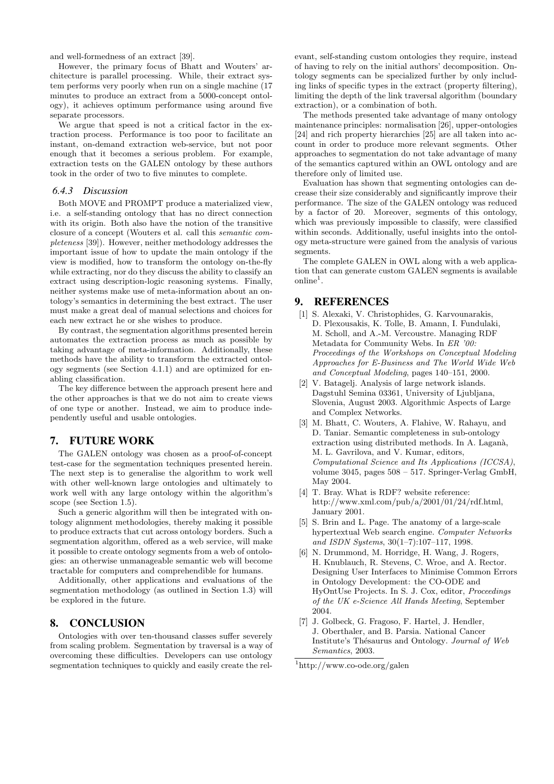and well-formedness of an extract [39].

However, the primary focus of Bhatt and Wouters' architecture is parallel processing. While, their extract system performs very poorly when run on a single machine (17 minutes to produce an extract from a 5000-concept ontology), it achieves optimum performance using around five separate processors.

We argue that speed is not a critical factor in the extraction process. Performance is too poor to facilitate an instant, on-demand extraction web-service, but not poor enough that it becomes a serious problem. For example, extraction tests on the GALEN ontology by these authors took in the order of two to five minutes to complete.

### *6.4.3 Discussion*

Both MOVE and PROMPT produce a materialized view, i.e. a self-standing ontology that has no direct connection with its origin. Both also have the notion of the transitive closure of a concept (Wouters et al. call this semantic completeness [39]). However, neither methodology addresses the important issue of how to update the main ontology if the view is modified, how to transform the ontology on-the-fly while extracting, nor do they discuss the ability to classify an extract using description-logic reasoning systems. Finally, neither systems make use of meta-information about an ontology's semantics in determining the best extract. The user must make a great deal of manual selections and choices for each new extract he or she wishes to produce.

By contrast, the segmentation algorithms presented herein automates the extraction process as much as possible by taking advantage of meta-information. Additionally, these methods have the ability to transform the extracted ontology segments (see Section 4.1.1) and are optimized for enabling classification.

The key difference between the approach present here and the other approaches is that we do not aim to create views of one type or another. Instead, we aim to produce independently useful and usable ontologies.

# 7. FUTURE WORK

The GALEN ontology was chosen as a proof-of-concept test-case for the segmentation techniques presented herein. The next step is to generalise the algorithm to work well with other well-known large ontologies and ultimately to work well with any large ontology within the algorithm's scope (see Section 1.5).

Such a generic algorithm will then be integrated with ontology alignment methodologies, thereby making it possible to produce extracts that cut across ontology borders. Such a segmentation algorithm, offered as a web service, will make it possible to create ontology segments from a web of ontologies: an otherwise unmanageable semantic web will become tractable for computers and comprehendible for humans.

Additionally, other applications and evaluations of the segmentation methodology (as outlined in Section 1.3) will be explored in the future.

### 8. CONCLUSION

Ontologies with over ten-thousand classes suffer severely from scaling problem. Segmentation by traversal is a way of overcoming these difficulties. Developers can use ontology segmentation techniques to quickly and easily create the rel-

evant, self-standing custom ontologies they require, instead of having to rely on the initial authors' decomposition. Ontology segments can be specialized further by only including links of specific types in the extract (property filtering), limiting the depth of the link traversal algorithm (boundary extraction), or a combination of both.

The methods presented take advantage of many ontology maintenance principles: normalisation [26], upper-ontologies [24] and rich property hierarchies [25] are all taken into account in order to produce more relevant segments. Other approaches to segmentation do not take advantage of many of the semantics captured within an OWL ontology and are therefore only of limited use.

Evaluation has shown that segmenting ontologies can decrease their size considerably and significantly improve their performance. The size of the GALEN ontology was reduced by a factor of 20. Moreover, segments of this ontology, which was previously impossible to classify, were classified within seconds. Additionally, useful insights into the ontology meta-structure were gained from the analysis of various segments.

The complete GALEN in OWL along with a web application that can generate custom GALEN segments is available  $\text{online}^1.$ 

# 9. REFERENCES

- [1] S. Alexaki, V. Christophides, G. Karvounarakis, D. Plexousakis, K. Tolle, B. Amann, I. Fundulaki, M. Scholl, and A.-M. Vercoustre. Managing RDF Metadata for Community Webs. In ER '00: Proceedings of the Workshops on Conceptual Modeling Approaches for E-Business and The World Wide Web and Conceptual Modeling, pages 140–151, 2000.
- [2] V. Batagelj. Analysis of large network islands. Dagstuhl Semina 03361, University of Ljubljana, Slovenia, August 2003. Algorithmic Aspects of Large and Complex Networks.
- [3] M. Bhatt, C. Wouters, A. Flahive, W. Rahayu, and D. Taniar. Semantic completeness in sub-ontology extraction using distributed methods. In A. Laganà, M. L. Gavrilova, and V. Kumar, editors, Computational Science and Its Applications (ICCSA), volume 3045, pages 508 – 517. Springer-Verlag GmbH, May 2004.
- [4] T. Bray. What is RDF? website reference: http://www.xml.com/pub/a/2001/01/24/rdf.html, January 2001.
- [5] S. Brin and L. Page. The anatomy of a large-scale hypertextual Web search engine. Computer Networks and ISDN Systems, 30(1–7):107–117, 1998.
- [6] N. Drummond, M. Horridge, H. Wang, J. Rogers, H. Knublauch, R. Stevens, C. Wroe, and A. Rector. Designing User Interfaces to Minimise Common Errors in Ontology Development: the CO-ODE and HyOntUse Projects. In S. J. Cox, editor, Proceedings of the UK e-Science All Hands Meeting, September 2004.
- [7] J. Golbeck, G. Fragoso, F. Hartel, J. Hendler, J. Oberthaler, and B. Parsia. National Cancer Institute's Thésaurus and Ontology. Journal of Web Semantics, 2003.

<sup>1</sup>http://www.co-ode.org/galen